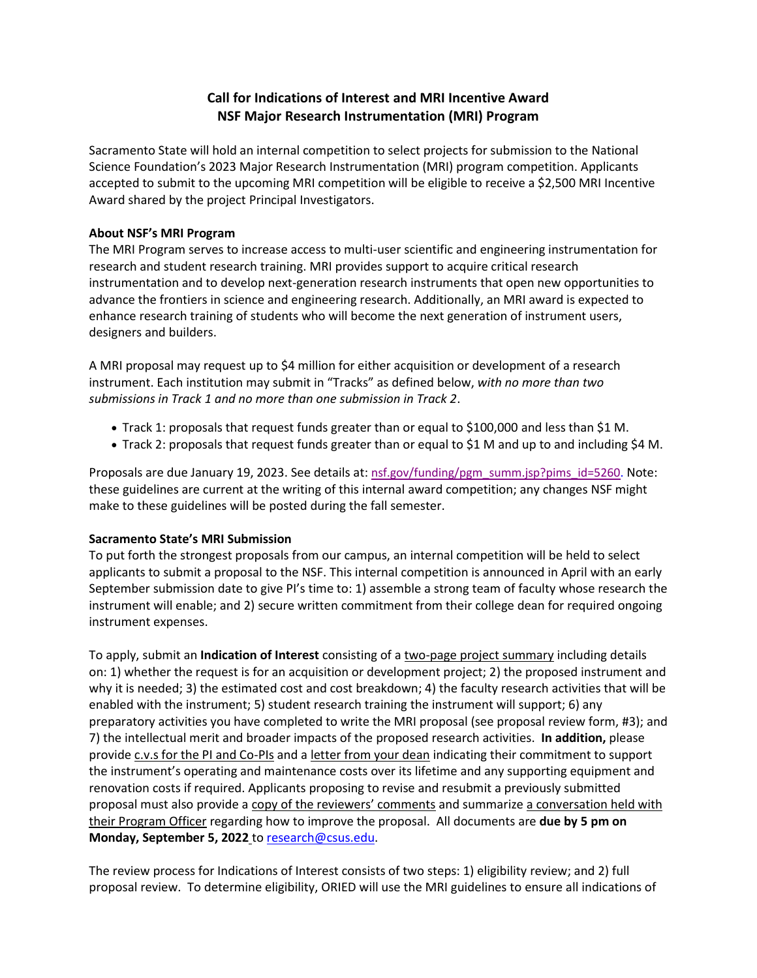## **Call for Indications of Interest and MRI Incentive Award NSF Major Research Instrumentation (MRI) Program**

Sacramento State will hold an internal competition to select projects for submission to the National Science Foundation's 2023 Major Research Instrumentation (MRI) program competition. Applicants accepted to submit to the upcoming MRI competition will be eligible to receive a \$2,500 MRI Incentive Award shared by the project Principal Investigators.

### **About NSF's MRI Program**

The MRI Program serves to increase access to multi-user scientific and engineering instrumentation for research and student research training. MRI provides support to acquire critical research instrumentation and to develop next-generation research instruments that open new opportunities to advance the frontiers in science and engineering research. Additionally, an MRI award is expected to enhance research training of students who will become the next generation of instrument users, designers and builders.

A MRI proposal may request up to \$4 million for either acquisition or development of a research instrument. Each institution may submit in "Tracks" as defined below, *with no more than two submissions in Track 1 and no more than one submission in Track 2*.

- Track 1: proposals that request funds greater than or equal to \$100,000 and less than \$1 M.
- Track 2: proposals that request funds greater than or equal to \$1 M and up to and including \$4 M.

Proposals are due January 19, 2023. See details at: [nsf.gov/funding/pgm\\_summ.jsp?pims\\_id=5260.](http://www.nsf.gov/funding/pgm_summ.jsp?pims_id=5260) Note: these guidelines are current at the writing of this internal award competition; any changes NSF might make to these guidelines will be posted during the fall semester.

## **Sacramento State's MRI Submission**

To put forth the strongest proposals from our campus, an internal competition will be held to select applicants to submit a proposal to the NSF. This internal competition is announced in April with an early September submission date to give PI's time to: 1) assemble a strong team of faculty whose research the instrument will enable; and 2) secure written commitment from their college dean for required ongoing instrument expenses.

To apply, submit an **Indication of Interest** consisting of a two-page project summary including details on: 1) whether the request is for an acquisition or development project; 2) the proposed instrument and why it is needed; 3) the estimated cost and cost breakdown; 4) the faculty research activities that will be enabled with the instrument; 5) student research training the instrument will support; 6) any preparatory activities you have completed to write the MRI proposal (see proposal review form, #3); and 7) the intellectual merit and broader impacts of the proposed research activities. **In addition,** please provide c.v.s for the PI and Co-PIs and a letter from your dean indicating their commitment to support the instrument's operating and maintenance costs over its lifetime and any supporting equipment and renovation costs if required. Applicants proposing to revise and resubmit a previously submitted proposal must also provide a copy of the reviewers' comments and summarize a conversation held with their Program Officer regarding how to improve the proposal. All documents are **due by 5 pm on Monday, September 5, 2022** to [research@csus.edu.](mailto:research@csus.edu)

The review process for Indications of Interest consists of two steps: 1) eligibility review; and 2) full proposal review. To determine eligibility, ORIED will use the MRI guidelines to ensure all indications of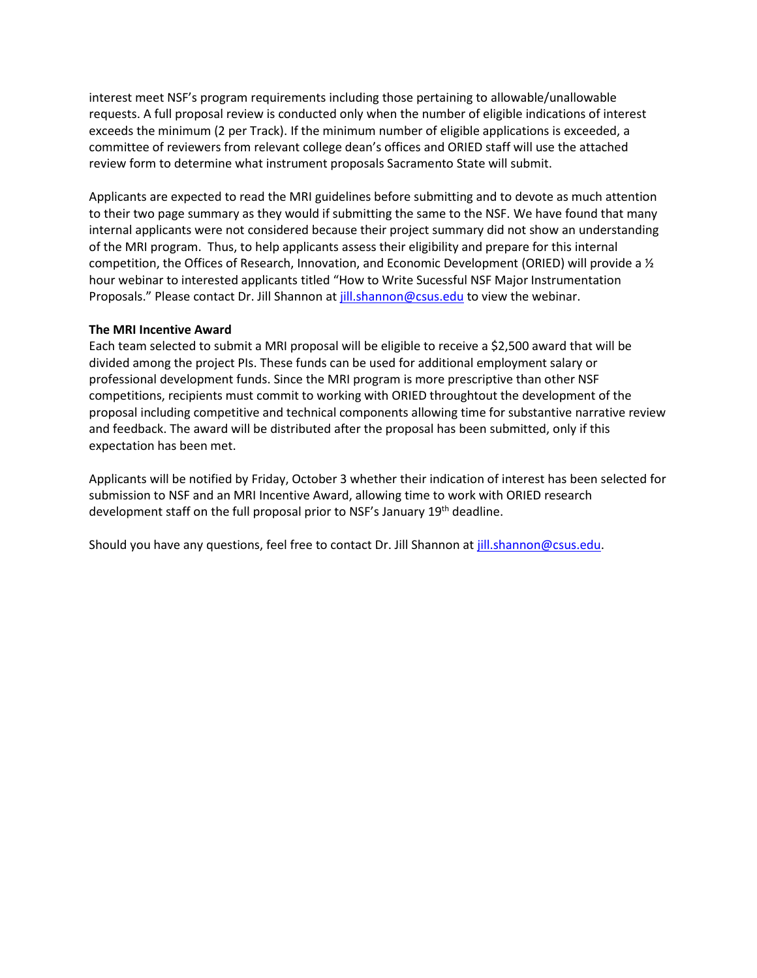interest meet NSF's program requirements including those pertaining to allowable/unallowable requests. A full proposal review is conducted only when the number of eligible indications of interest exceeds the minimum (2 per Track). If the minimum number of eligible applications is exceeded, a committee of reviewers from relevant college dean's offices and ORIED staff will use the attached review form to determine what instrument proposals Sacramento State will submit.

Applicants are expected to read the MRI guidelines before submitting and to devote as much attention to their two page summary as they would if submitting the same to the NSF. We have found that many internal applicants were not considered because their project summary did not show an understanding of the MRI program. Thus, to help applicants assess their eligibility and prepare for this internal competition, the Offices of Research, Innovation, and Economic Development (ORIED) will provide a ½ hour webinar to interested applicants titled "How to Write Sucessful NSF Major Instrumentation Proposals." Please contact Dr. Jill Shannon at [jill.shannon@csus.edu](mailto:jill.shannon@csus.edu) to view the webinar.

#### **The MRI Incentive Award**

Each team selected to submit a MRI proposal will be eligible to receive a \$2,500 award that will be divided among the project PIs. These funds can be used for additional employment salary or professional development funds. Since the MRI program is more prescriptive than other NSF competitions, recipients must commit to working with ORIED throughtout the development of the proposal including competitive and technical components allowing time for substantive narrative review and feedback. The award will be distributed after the proposal has been submitted, only if this expectation has been met.

Applicants will be notified by Friday, October 3 whether their indication of interest has been selected for submission to NSF and an MRI Incentive Award, allowing time to work with ORIED research development staff on the full proposal prior to NSF's January 19th deadline.

Should you have any questions, feel free to contact Dr. Jill Shannon at [jill.shannon@csus.edu.](mailto:jill.shannon@csus.edu)